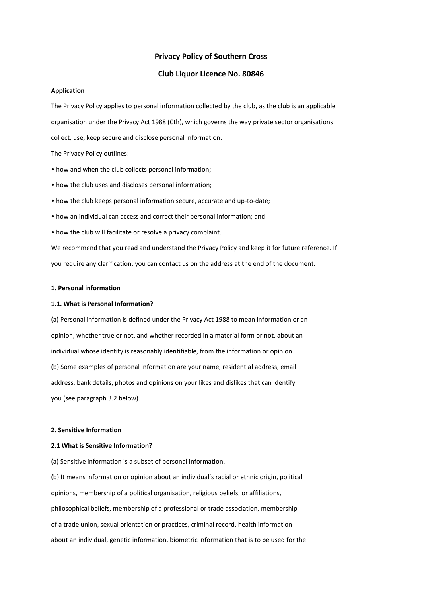# **Privacy Policy of Southern Cross**

# **Club Liquor Licence No. 80846**

#### **Application**

The Privacy Policy applies to personal information collected by the club, as the club is an applicable organisation under the Privacy Act 1988 (Cth), which governs the way private sector organisations collect, use, keep secure and disclose personal information.

The Privacy Policy outlines:

- how and when the club collects personal information;
- how the club uses and discloses personal information;
- how the club keeps personal information secure, accurate and up-to-date;
- how an individual can access and correct their personal information; and
- how the club will facilitate or resolve a privacy complaint.

We recommend that you read and understand the Privacy Policy and keep it for future reference. If you require any clarification, you can contact us on the address at the end of the document.

#### **1. Personal information**

#### **1.1. What is Personal Information?**

(a) Personal information is defined under the Privacy Act 1988 to mean information or an opinion, whether true or not, and whether recorded in a material form or not, about an individual whose identity is reasonably identifiable, from the information or opinion. (b) Some examples of personal information are your name, residential address, email address, bank details, photos and opinions on your likes and dislikes that can identify you (see paragraph 3.2 below).

### **2. Sensitive Information**

## **2.1 What is Sensitive Information?**

(a) Sensitive information is a subset of personal information.

(b) It means information or opinion about an individual's racial or ethnic origin, political opinions, membership of a political organisation, religious beliefs, or affiliations, philosophical beliefs, membership of a professional or trade association, membership of a trade union, sexual orientation or practices, criminal record, health information about an individual, genetic information, biometric information that is to be used for the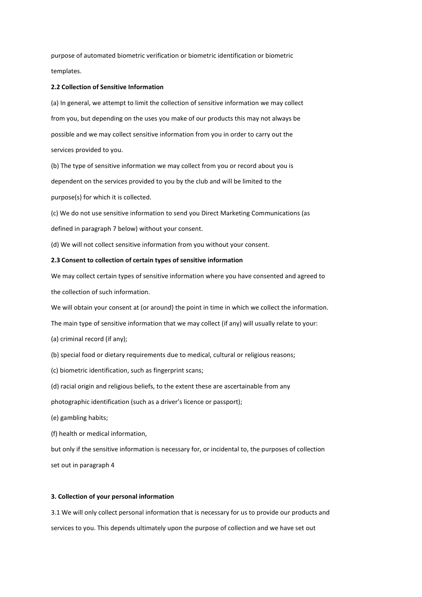purpose of automated biometric verification or biometric identification or biometric templates.

### **2.2 Collection of Sensitive Information**

(a) In general, we attempt to limit the collection of sensitive information we may collect from you, but depending on the uses you make of our products this may not always be possible and we may collect sensitive information from you in order to carry out the services provided to you.

(b) The type of sensitive information we may collect from you or record about you is dependent on the services provided to you by the club and will be limited to the purpose(s) for which it is collected.

(c) We do not use sensitive information to send you Direct Marketing Communications (as defined in paragraph 7 below) without your consent.

(d) We will not collect sensitive information from you without your consent.

# **2.3 Consent to collection of certain types of sensitive information**

We may collect certain types of sensitive information where you have consented and agreed to the collection of such information.

We will obtain your consent at (or around) the point in time in which we collect the information.

The main type of sensitive information that we may collect (if any) will usually relate to your:

- (a) criminal record (if any);
- (b) special food or dietary requirements due to medical, cultural or religious reasons;
- (c) biometric identification, such as fingerprint scans;
- (d) racial origin and religious beliefs, to the extent these are ascertainable from any

photographic identification (such as a driver's licence or passport);

(e) gambling habits;

(f) health or medical information,

but only if the sensitive information is necessary for, or incidental to, the purposes of collection set out in paragraph 4

## **3. Collection of your personal information**

3.1 We will only collect personal information that is necessary for us to provide our products and services to you. This depends ultimately upon the purpose of collection and we have set out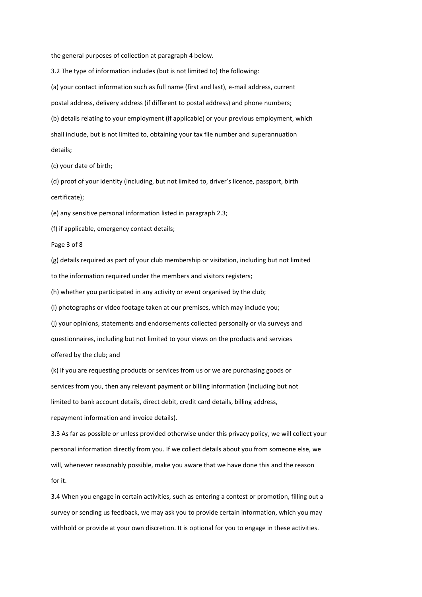the general purposes of collection at paragraph 4 below.

3.2 The type of information includes (but is not limited to) the following: (a) your contact information such as full name (first and last), e-mail address, current postal address, delivery address (if different to postal address) and phone numbers; (b) details relating to your employment (if applicable) or your previous employment, which

shall include, but is not limited to, obtaining your tax file number and superannuation

details;

(c) your date of birth;

(d) proof of your identity (including, but not limited to, driver's licence, passport, birth certificate);

(e) any sensitive personal information listed in paragraph 2.3;

(f) if applicable, emergency contact details;

Page 3 of 8

(g) details required as part of your club membership or visitation, including but not limited

to the information required under the members and visitors registers;

(h) whether you participated in any activity or event organised by the club;

(i) photographs or video footage taken at our premises, which may include you;

(j) your opinions, statements and endorsements collected personally or via surveys and

questionnaires, including but not limited to your views on the products and services offered by the club; and

(k) if you are requesting products or services from us or we are purchasing goods or services from you, then any relevant payment or billing information (including but not limited to bank account details, direct debit, credit card details, billing address, repayment information and invoice details).

3.3 As far as possible or unless provided otherwise under this privacy policy, we will collect your personal information directly from you. If we collect details about you from someone else, we will, whenever reasonably possible, make you aware that we have done this and the reason for it.

3.4 When you engage in certain activities, such as entering a contest or promotion, filling out a survey or sending us feedback, we may ask you to provide certain information, which you may withhold or provide at your own discretion. It is optional for you to engage in these activities.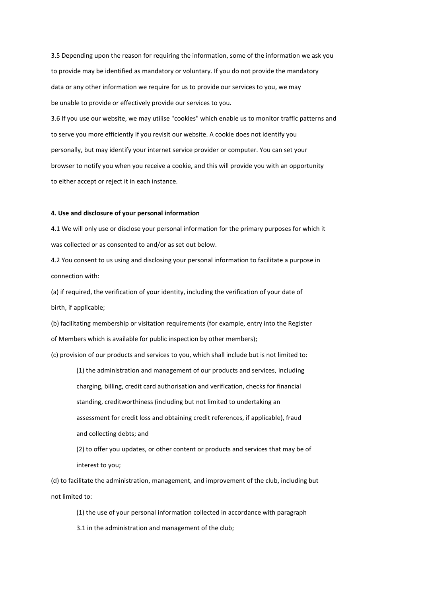3.5 Depending upon the reason for requiring the information, some of the information we ask you to provide may be identified as mandatory or voluntary. If you do not provide the mandatory data or any other information we require for us to provide our services to you, we may be unable to provide or effectively provide our services to you.

3.6 If you use our website, we may utilise "cookies" which enable us to monitor traffic patterns and to serve you more efficiently if you revisit our website. A cookie does not identify you personally, but may identify your internet service provider or computer. You can set your browser to notify you when you receive a cookie, and this will provide you with an opportunity to either accept or reject it in each instance.

## **4. Use and disclosure of your personal information**

4.1 We will only use or disclose your personal information for the primary purposes for which it was collected or as consented to and/or as set out below.

4.2 You consent to us using and disclosing your personal information to facilitate a purpose in connection with:

(a) if required, the verification of your identity, including the verification of your date of birth, if applicable;

(b) facilitating membership or visitation requirements (for example, entry into the Register of Members which is available for public inspection by other members);

(c) provision of our products and services to you, which shall include but is not limited to:

(1) the administration and management of our products and services, including charging, billing, credit card authorisation and verification, checks for financial standing, creditworthiness (including but not limited to undertaking an assessment for credit loss and obtaining credit references, if applicable), fraud and collecting debts; and

(2) to offer you updates, or other content or products and services that may be of interest to you;

(d) to facilitate the administration, management, and improvement of the club, including but not limited to:

(1) the use of your personal information collected in accordance with paragraph 3.1 in the administration and management of the club;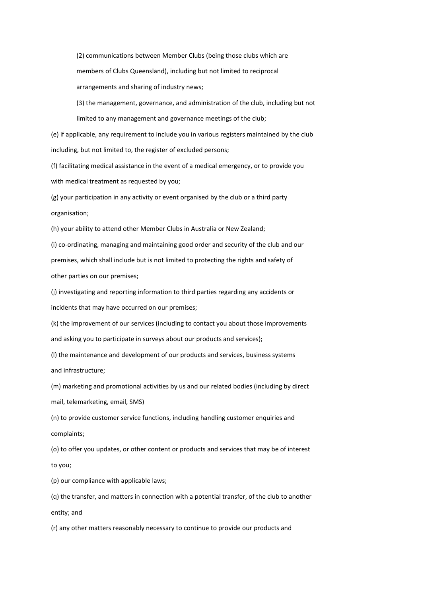(2) communications between Member Clubs (being those clubs which are members of Clubs Queensland), including but not limited to reciprocal arrangements and sharing of industry news;

(3) the management, governance, and administration of the club, including but not limited to any management and governance meetings of the club;

(e) if applicable, any requirement to include you in various registers maintained by the club including, but not limited to, the register of excluded persons;

(f) facilitating medical assistance in the event of a medical emergency, or to provide you with medical treatment as requested by you;

(g) your participation in any activity or event organised by the club or a third party organisation;

(h) your ability to attend other Member Clubs in Australia or New Zealand;

(i) co-ordinating, managing and maintaining good order and security of the club and our premises, which shall include but is not limited to protecting the rights and safety of other parties on our premises;

(j) investigating and reporting information to third parties regarding any accidents or incidents that may have occurred on our premises;

(k) the improvement of our services (including to contact you about those improvements and asking you to participate in surveys about our products and services);

(l) the maintenance and development of our products and services, business systems and infrastructure;

(m) marketing and promotional activities by us and our related bodies (including by direct mail, telemarketing, email, SMS)

(n) to provide customer service functions, including handling customer enquiries and complaints;

(o) to offer you updates, or other content or products and services that may be of interest to you;

(p) our compliance with applicable laws;

(q) the transfer, and matters in connection with a potential transfer, of the club to another entity; and

(r) any other matters reasonably necessary to continue to provide our products and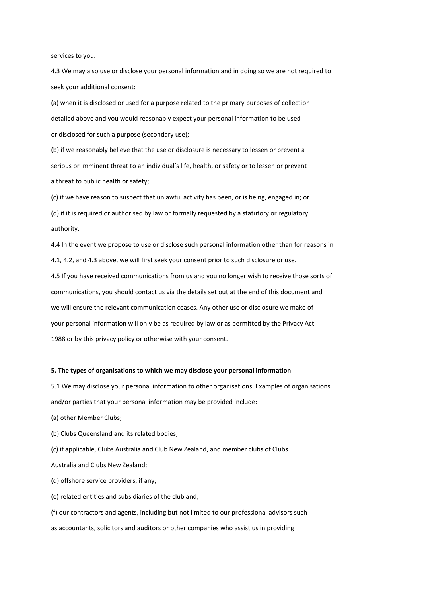services to you.

4.3 We may also use or disclose your personal information and in doing so we are not required to seek your additional consent:

(a) when it is disclosed or used for a purpose related to the primary purposes of collection detailed above and you would reasonably expect your personal information to be used or disclosed for such a purpose (secondary use);

(b) if we reasonably believe that the use or disclosure is necessary to lessen or prevent a serious or imminent threat to an individual's life, health, or safety or to lessen or prevent a threat to public health or safety;

(c) if we have reason to suspect that unlawful activity has been, or is being, engaged in; or (d) if it is required or authorised by law or formally requested by a statutory or regulatory authority.

4.4 In the event we propose to use or disclose such personal information other than for reasons in 4.1, 4.2, and 4.3 above, we will first seek your consent prior to such disclosure or use.

4.5 If you have received communications from us and you no longer wish to receive those sorts of communications, you should contact us via the details set out at the end of this document and we will ensure the relevant communication ceases. Any other use or disclosure we make of your personal information will only be as required by law or as permitted by the Privacy Act 1988 or by this privacy policy or otherwise with your consent.

#### **5. The types of organisations to which we may disclose your personal information**

5.1 We may disclose your personal information to other organisations. Examples of organisations and/or parties that your personal information may be provided include:

(a) other Member Clubs;

(b) Clubs Queensland and its related bodies;

(c) if applicable, Clubs Australia and Club New Zealand, and member clubs of Clubs

Australia and Clubs New Zealand;

(d) offshore service providers, if any;

(e) related entities and subsidiaries of the club and;

(f) our contractors and agents, including but not limited to our professional advisors such as accountants, solicitors and auditors or other companies who assist us in providing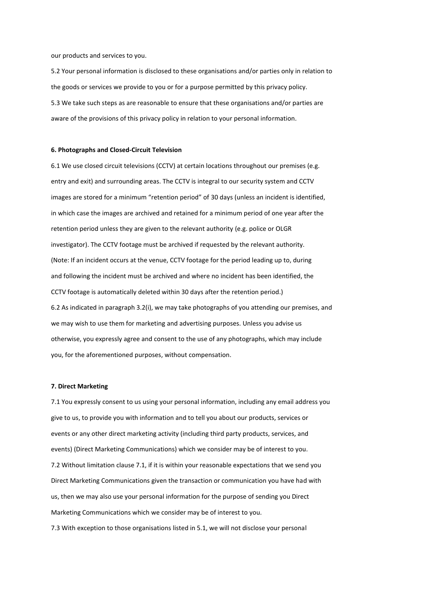our products and services to you.

5.2 Your personal information is disclosed to these organisations and/or parties only in relation to the goods or services we provide to you or for a purpose permitted by this privacy policy. 5.3 We take such steps as are reasonable to ensure that these organisations and/or parties are aware of the provisions of this privacy policy in relation to your personal information.

#### **6. Photographs and Closed-Circuit Television**

6.1 We use closed circuit televisions (CCTV) at certain locations throughout our premises (e.g. entry and exit) and surrounding areas. The CCTV is integral to our security system and CCTV images are stored for a minimum "retention period" of 30 days (unless an incident is identified, in which case the images are archived and retained for a minimum period of one year after the retention period unless they are given to the relevant authority (e.g. police or OLGR investigator). The CCTV footage must be archived if requested by the relevant authority. (Note: If an incident occurs at the venue, CCTV footage for the period leading up to, during and following the incident must be archived and where no incident has been identified, the CCTV footage is automatically deleted within 30 days after the retention period.) 6.2 As indicated in paragraph 3.2(i), we may take photographs of you attending our premises, and we may wish to use them for marketing and advertising purposes. Unless you advise us otherwise, you expressly agree and consent to the use of any photographs, which may include you, for the aforementioned purposes, without compensation.

### **7. Direct Marketing**

7.1 You expressly consent to us using your personal information, including any email address you give to us, to provide you with information and to tell you about our products, services or events or any other direct marketing activity (including third party products, services, and events) (Direct Marketing Communications) which we consider may be of interest to you. 7.2 Without limitation clause 7.1, if it is within your reasonable expectations that we send you Direct Marketing Communications given the transaction or communication you have had with us, then we may also use your personal information for the purpose of sending you Direct Marketing Communications which we consider may be of interest to you.

7.3 With exception to those organisations listed in 5.1, we will not disclose your personal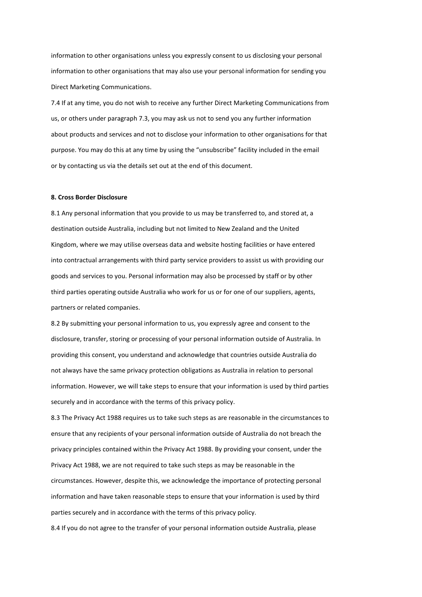information to other organisations unless you expressly consent to us disclosing your personal information to other organisations that may also use your personal information for sending you Direct Marketing Communications.

7.4 If at any time, you do not wish to receive any further Direct Marketing Communications from us, or others under paragraph 7.3, you may ask us not to send you any further information about products and services and not to disclose your information to other organisations for that purpose. You may do this at any time by using the "unsubscribe" facility included in the email or by contacting us via the details set out at the end of this document.

### **8. Cross Border Disclosure**

8.1 Any personal information that you provide to us may be transferred to, and stored at, a destination outside Australia, including but not limited to New Zealand and the United Kingdom, where we may utilise overseas data and website hosting facilities or have entered into contractual arrangements with third party service providers to assist us with providing our goods and services to you. Personal information may also be processed by staff or by other third parties operating outside Australia who work for us or for one of our suppliers, agents, partners or related companies.

8.2 By submitting your personal information to us, you expressly agree and consent to the disclosure, transfer, storing or processing of your personal information outside of Australia. In providing this consent, you understand and acknowledge that countries outside Australia do not always have the same privacy protection obligations as Australia in relation to personal information. However, we will take steps to ensure that your information is used by third parties securely and in accordance with the terms of this privacy policy.

8.3 The Privacy Act 1988 requires us to take such steps as are reasonable in the circumstances to ensure that any recipients of your personal information outside of Australia do not breach the privacy principles contained within the Privacy Act 1988. By providing your consent, under the Privacy Act 1988, we are not required to take such steps as may be reasonable in the circumstances. However, despite this, we acknowledge the importance of protecting personal information and have taken reasonable steps to ensure that your information is used by third parties securely and in accordance with the terms of this privacy policy.

8.4 If you do not agree to the transfer of your personal information outside Australia, please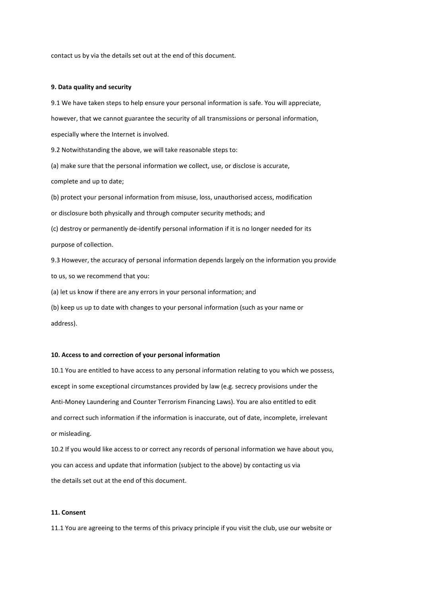contact us by via the details set out at the end of this document.

#### **9. Data quality and security**

9.1 We have taken steps to help ensure your personal information is safe. You will appreciate, however, that we cannot guarantee the security of all transmissions or personal information, especially where the Internet is involved.

9.2 Notwithstanding the above, we will take reasonable steps to:

(a) make sure that the personal information we collect, use, or disclose is accurate, complete and up to date;

(b) protect your personal information from misuse, loss, unauthorised access, modification or disclosure both physically and through computer security methods; and (c) destroy or permanently de-identify personal information if it is no longer needed for its purpose of collection.

9.3 However, the accuracy of personal information depends largely on the information you provide to us, so we recommend that you:

(a) let us know if there are any errors in your personal information; and

(b) keep us up to date with changes to your personal information (such as your name or address).

#### **10. Access to and correction of your personal information**

10.1 You are entitled to have access to any personal information relating to you which we possess, except in some exceptional circumstances provided by law (e.g. secrecy provisions under the Anti-Money Laundering and Counter Terrorism Financing Laws). You are also entitled to edit and correct such information if the information is inaccurate, out of date, incomplete, irrelevant or misleading.

10.2 If you would like access to or correct any records of personal information we have about you, you can access and update that information (subject to the above) by contacting us via the details set out at the end of this document.

# **11. Consent**

11.1 You are agreeing to the terms of this privacy principle if you visit the club, use our website or